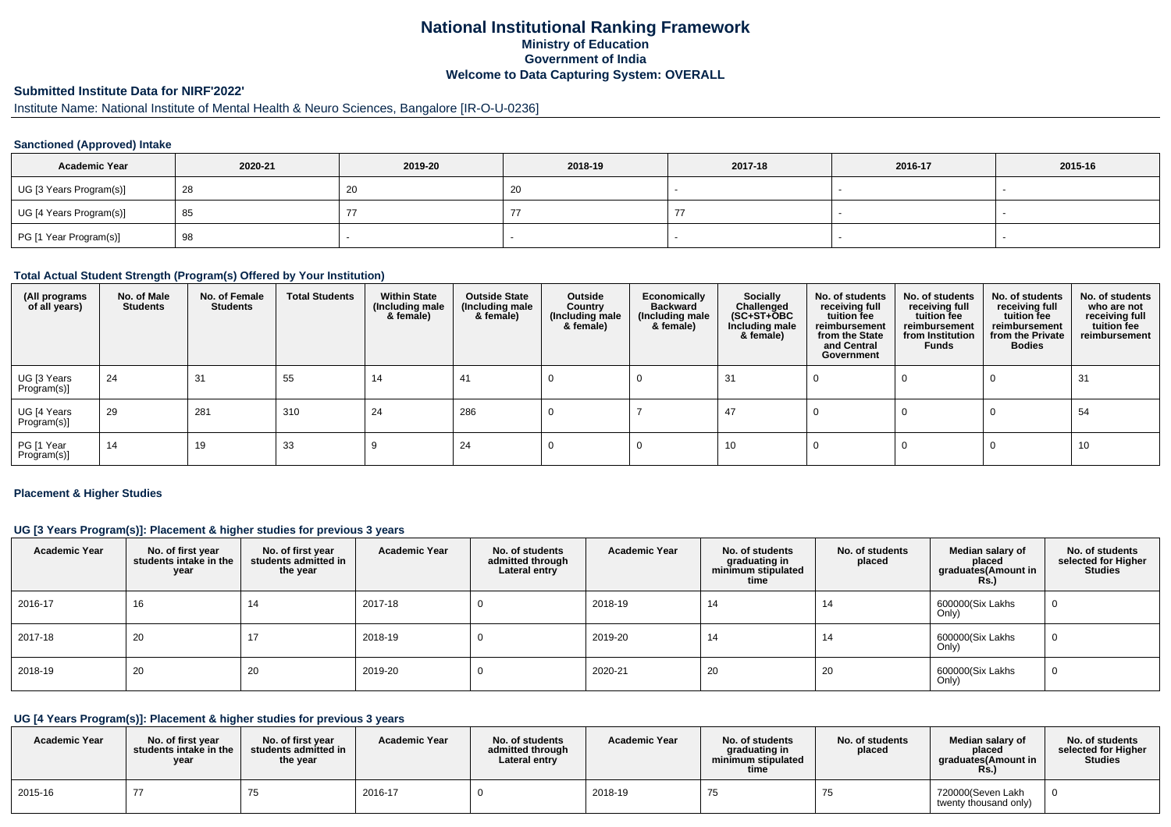# **National Institutional Ranking FrameworkMinistry of Education Government of IndiaWelcome to Data Capturing System: OVERALL**

# **Submitted Institute Data for NIRF'2022'**

# Institute Name: National Institute of Mental Health & Neuro Sciences, Bangalore [IR-O-U-0236]

#### **Sanctioned (Approved) Intake**

| <b>Academic Year</b>    | 2020-21 | 2019-20 | 2018-19          | 2017-18 | 2016-17 | 2015-16 |
|-------------------------|---------|---------|------------------|---------|---------|---------|
| UG [3 Years Program(s)] | 28      | zu      | $\Omega$<br>- ZU |         |         |         |
| UG [4 Years Program(s)] | 85      |         |                  |         |         |         |
| PG [1 Year Program(s)]  | 98      |         |                  |         |         |         |

#### **Total Actual Student Strength (Program(s) Offered by Your Institution)**

| (All programs<br>of all years) | No. of Male<br><b>Students</b> | No. of Female<br>Students | <b>Total Students</b> | <b>Within State</b><br>(Including male<br>& female) | <b>Outside State</b><br>(Including male<br>& female) | Outside<br>Country<br>(Including male<br>& female) | Economically<br><b>Backward</b><br>(Including male<br>& female) | <b>Socially</b><br>Challenged<br>$(SC+ST+\text{O}BC)$<br>Including male<br>& female) | No. of students<br>receiving full<br>tuition fee<br>reimbursement<br>from the State<br>and Central<br>Government | No. of students<br>receiving full<br>tuition fee<br>reimbursement<br>from Institution<br><b>Funds</b> | No. of students<br>receiving full<br>tuition fee<br>reimbursement<br>from the Private<br><b>Bodies</b> | No. of students<br>who are not<br>receiving full<br>tuition fee<br>reimbursement |
|--------------------------------|--------------------------------|---------------------------|-----------------------|-----------------------------------------------------|------------------------------------------------------|----------------------------------------------------|-----------------------------------------------------------------|--------------------------------------------------------------------------------------|------------------------------------------------------------------------------------------------------------------|-------------------------------------------------------------------------------------------------------|--------------------------------------------------------------------------------------------------------|----------------------------------------------------------------------------------|
| UG [3 Years<br>Program(s)]     | 24                             | 31                        | 55                    | 14                                                  | 41                                                   |                                                    |                                                                 | 31                                                                                   |                                                                                                                  |                                                                                                       |                                                                                                        | 31                                                                               |
| UG [4 Years<br>Program(s)]     | 29                             | 281                       | 310                   | 24                                                  | 286                                                  |                                                    |                                                                 | 47                                                                                   |                                                                                                                  |                                                                                                       |                                                                                                        | 54                                                                               |
| PG [1 Year<br>Program(s)]      | 14                             | 19                        | 33                    |                                                     | 24                                                   |                                                    |                                                                 | 10                                                                                   |                                                                                                                  |                                                                                                       |                                                                                                        | 10                                                                               |

#### **Placement & Higher Studies**

### **UG [3 Years Program(s)]: Placement & higher studies for previous 3 years**

| <b>Academic Year</b> | No. of first year<br>students intake in the<br>year | No. of first year<br>students admitted in<br>the year | <b>Academic Year</b> | No. of students<br>admitted through<br>Lateral entry | <b>Academic Year</b> | No. of students<br>graduating in<br>minimum stipulated<br>time | No. of students<br>placed | Median salary of<br>placed<br>graduates(Amount in<br><b>Rs.)</b> | No. of students<br>selected for Higher<br><b>Studies</b> |
|----------------------|-----------------------------------------------------|-------------------------------------------------------|----------------------|------------------------------------------------------|----------------------|----------------------------------------------------------------|---------------------------|------------------------------------------------------------------|----------------------------------------------------------|
| 2016-17              | 16                                                  | 14                                                    | 2017-18              |                                                      | 2018-19              | 14                                                             | 14                        | 600000(Six Lakhs<br>Only)                                        |                                                          |
| 2017-18              | 20                                                  |                                                       | 2018-19              |                                                      | 2019-20              | 14                                                             | 14                        | 600000(Six Lakhs<br>Only)                                        |                                                          |
| 2018-19              | 20                                                  | -20                                                   | 2019-20              |                                                      | 2020-21              | 20                                                             | 20                        | 600000(Six Lakhs<br>Only)                                        |                                                          |

# **UG [4 Years Program(s)]: Placement & higher studies for previous 3 years**

| <b>Academic Year</b> | No. of first vear<br>students intake in the<br>year | No. of first vear<br>students admitted in<br>the year | <b>Academic Year</b> | No. of students<br>admitted through<br>Lateral entry | <b>Academic Year</b> | No. of students<br>graduating in<br>minimum stipulated<br>time | No. of students<br>placed | Median salary of<br>placed<br>araduates(Amount in<br>Rs. | No. of students<br>selected for Higher<br>Studies |
|----------------------|-----------------------------------------------------|-------------------------------------------------------|----------------------|------------------------------------------------------|----------------------|----------------------------------------------------------------|---------------------------|----------------------------------------------------------|---------------------------------------------------|
| 2015-16              |                                                     | ن ،                                                   | 2016-17              |                                                      | 2018-19              | 75                                                             | 75                        | 720000(Seven Lakh<br>twenty thousand only)               |                                                   |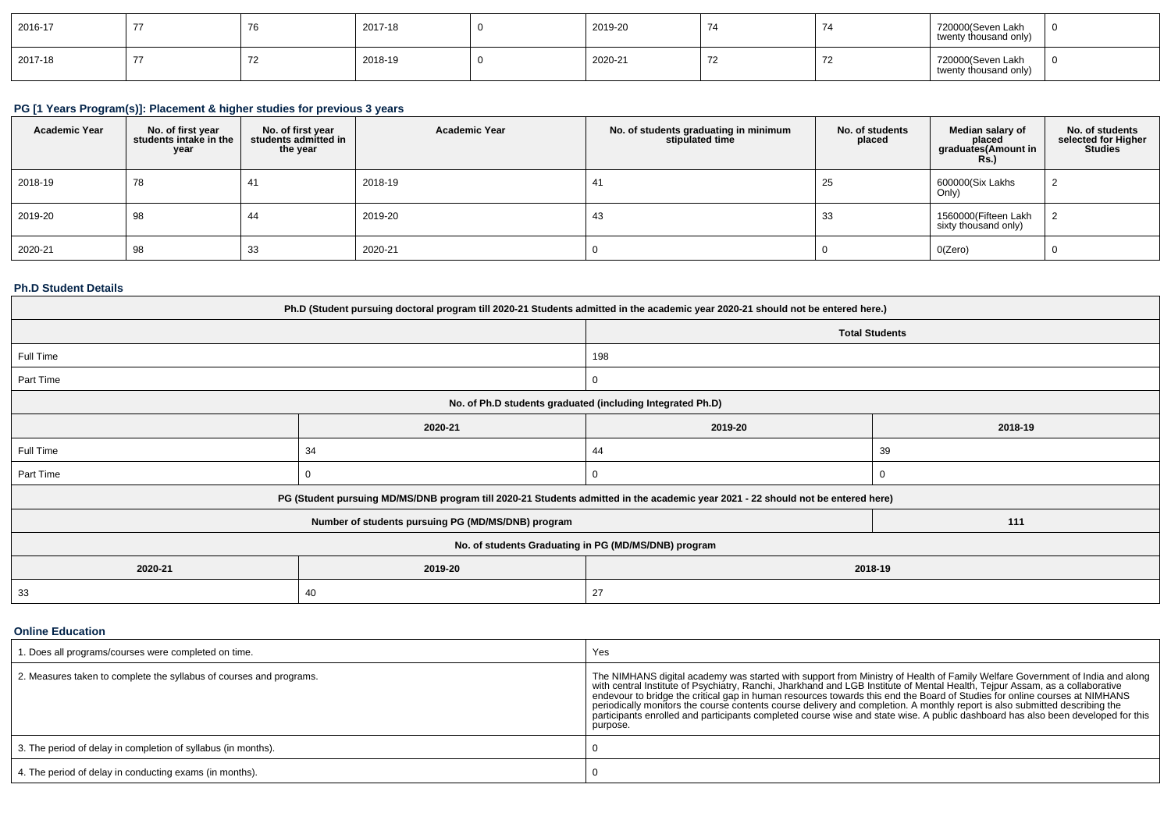| 2016-17 |  | 2017-18 | 2019-20 | $\rightarrow$ | 720000(Seven Lakh<br>twenty thousand only) |  |
|---------|--|---------|---------|---------------|--------------------------------------------|--|
| 2017-18 |  | 2018-19 | 2020-21 | - 14          | 720000(Seven Lakh<br>twenty thousand only) |  |

# **PG [1 Years Program(s)]: Placement & higher studies for previous 3 years**

| <b>Academic Year</b> | No. of first year<br>students intake in the<br>year | No. of first year<br>students admitted in<br>the year | <b>Academic Year</b> | No. of students graduating in minimum<br>stipulated time | No. of students<br>placed | Median salary of<br>placed<br>graduates(Amount in<br>Rs. | No. of students<br>selected for Higher<br><b>Studies</b> |
|----------------------|-----------------------------------------------------|-------------------------------------------------------|----------------------|----------------------------------------------------------|---------------------------|----------------------------------------------------------|----------------------------------------------------------|
| 2018-19              | 78                                                  | 41                                                    | 2018-19              | 41                                                       | 25                        | 600000(Six Lakhs<br>Only)                                |                                                          |
| 2019-20              | 98                                                  | 44                                                    | 2019-20              | 43                                                       | 33                        | 1560000(Fifteen Lakh<br>sixty thousand only)             |                                                          |
| 2020-21              | 98                                                  | 33                                                    | 2020-21              |                                                          |                           | O(Zero)                                                  |                                                          |

#### **Ph.D Student Details**

| Ph.D (Student pursuing doctoral program till 2020-21 Students admitted in the academic year 2020-21 should not be entered here.) |                                                                                                                                  |                       |         |  |  |  |
|----------------------------------------------------------------------------------------------------------------------------------|----------------------------------------------------------------------------------------------------------------------------------|-----------------------|---------|--|--|--|
|                                                                                                                                  |                                                                                                                                  | <b>Total Students</b> |         |  |  |  |
| Full Time                                                                                                                        |                                                                                                                                  | 198                   |         |  |  |  |
| Part Time                                                                                                                        |                                                                                                                                  | 0                     |         |  |  |  |
|                                                                                                                                  | No. of Ph.D students graduated (including Integrated Ph.D)                                                                       |                       |         |  |  |  |
|                                                                                                                                  | 2020-21                                                                                                                          | 2019-20               | 2018-19 |  |  |  |
| Full Time                                                                                                                        | 34                                                                                                                               | 44                    | 39      |  |  |  |
| Part Time                                                                                                                        |                                                                                                                                  |                       |         |  |  |  |
|                                                                                                                                  | PG (Student pursuing MD/MS/DNB program till 2020-21 Students admitted in the academic year 2021 - 22 should not be entered here) |                       |         |  |  |  |
|                                                                                                                                  | Number of students pursuing PG (MD/MS/DNB) program                                                                               |                       | 111     |  |  |  |
|                                                                                                                                  | No. of students Graduating in PG (MD/MS/DNB) program                                                                             |                       |         |  |  |  |
| 2020-21                                                                                                                          | 2019-20<br>2018-19                                                                                                               |                       |         |  |  |  |
| 33                                                                                                                               | 40                                                                                                                               | 27                    |         |  |  |  |

#### **Online Education**

| 1. Does all programs/courses were completed on time.                | Yes                                                                                                                                                                                                                                                                                                                                                                                                                                                                                                                                                                                                                                                                       |
|---------------------------------------------------------------------|---------------------------------------------------------------------------------------------------------------------------------------------------------------------------------------------------------------------------------------------------------------------------------------------------------------------------------------------------------------------------------------------------------------------------------------------------------------------------------------------------------------------------------------------------------------------------------------------------------------------------------------------------------------------------|
| 2. Measures taken to complete the syllabus of courses and programs. | The NIMHANS digital academy was started with support from Ministry of Health of Family Welfare Government of India and along<br>with central Institute of Psychiatry, Ranchi, Jharkhand and LGB Institute of Mental Health, Tejpur Assam, as a collaborative<br>endevour to bridge the critical gap in human resources towards this end the Board of Studies for online courses at NIMHANS<br>periodically monitors the course contents course delivery and completion. A monthly report is also submitted describing the<br>participants enrolled and participants completed course wise and state wise. A public dashboard has also been developed for this<br>purpose. |
| 3. The period of delay in completion of syllabus (in months).       |                                                                                                                                                                                                                                                                                                                                                                                                                                                                                                                                                                                                                                                                           |
| 4. The period of delay in conducting exams (in months).             |                                                                                                                                                                                                                                                                                                                                                                                                                                                                                                                                                                                                                                                                           |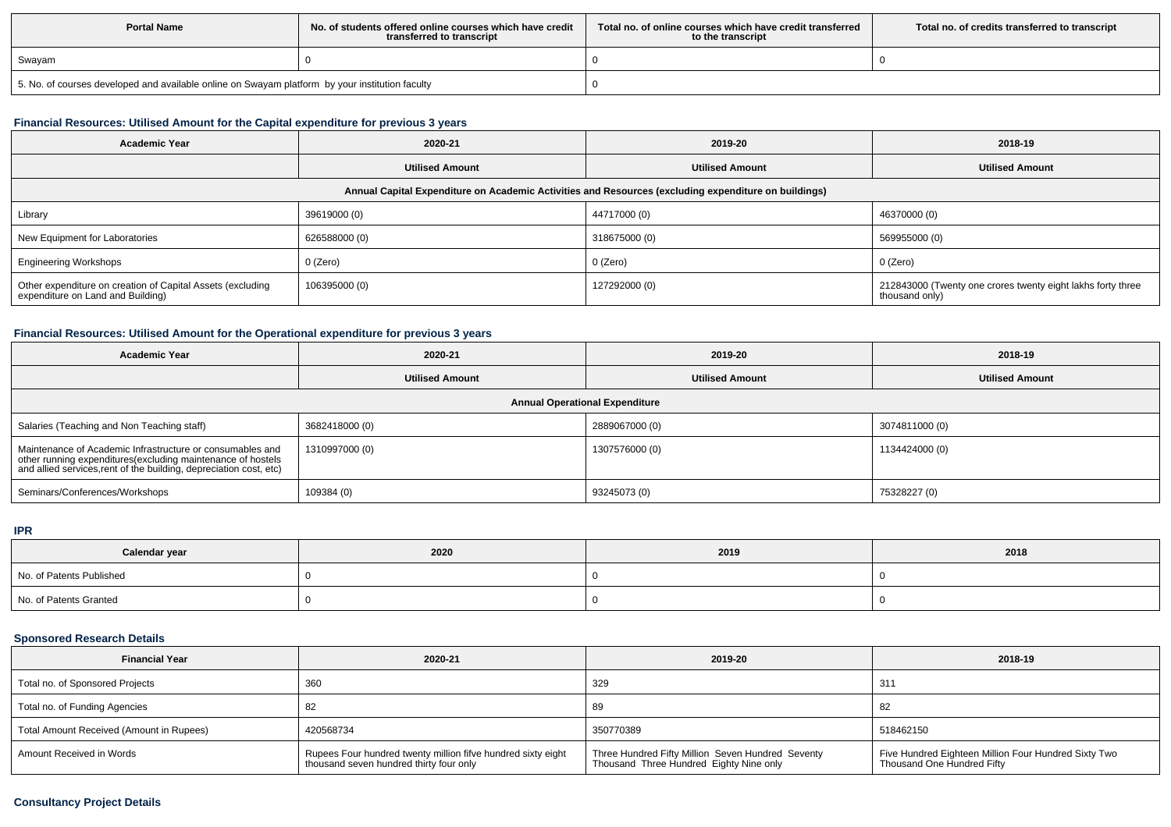| <b>Portal Name</b>                                                                              | No, of students offered online courses which have credit<br>transferred to transcript | Total no. of online courses which have credit transferred<br>to the transcript | Total no. of credits transferred to transcript |
|-------------------------------------------------------------------------------------------------|---------------------------------------------------------------------------------------|--------------------------------------------------------------------------------|------------------------------------------------|
| Swayam                                                                                          |                                                                                       |                                                                                |                                                |
| 5. No. of courses developed and available online on Swayam platform by your institution faculty |                                                                                       |                                                                                |                                                |

# **Financial Resources: Utilised Amount for the Capital expenditure for previous 3 years**

| <b>Academic Year</b>                                                                                 | 2020-21                |                        | 2018-19                                                                       |  |  |  |  |
|------------------------------------------------------------------------------------------------------|------------------------|------------------------|-------------------------------------------------------------------------------|--|--|--|--|
|                                                                                                      | <b>Utilised Amount</b> | <b>Utilised Amount</b> | <b>Utilised Amount</b>                                                        |  |  |  |  |
| Annual Capital Expenditure on Academic Activities and Resources (excluding expenditure on buildings) |                        |                        |                                                                               |  |  |  |  |
| Library                                                                                              | 39619000 (0)           | 44717000 (0)           | 46370000 (0)                                                                  |  |  |  |  |
| New Equipment for Laboratories                                                                       | 626588000 (0)          | 318675000 (0)          | 569955000 (0)                                                                 |  |  |  |  |
| <b>Engineering Workshops</b>                                                                         | 0 (Zero)               | 0 (Zero)               | $0$ (Zero)                                                                    |  |  |  |  |
| Other expenditure on creation of Capital Assets (excluding<br>expenditure on Land and Building)      | 106395000 (0)          | 127292000 (0)          | 212843000 (Twenty one crores twenty eight lakhs forty three<br>thousand only) |  |  |  |  |

## **Financial Resources: Utilised Amount for the Operational expenditure for previous 3 years**

| <b>Academic Year</b>                                                                                                                                                                            | 2020-21                | 2019-20                | 2018-19                |  |  |  |  |
|-------------------------------------------------------------------------------------------------------------------------------------------------------------------------------------------------|------------------------|------------------------|------------------------|--|--|--|--|
|                                                                                                                                                                                                 | <b>Utilised Amount</b> | <b>Utilised Amount</b> | <b>Utilised Amount</b> |  |  |  |  |
| <b>Annual Operational Expenditure</b>                                                                                                                                                           |                        |                        |                        |  |  |  |  |
| Salaries (Teaching and Non Teaching staff)                                                                                                                                                      | 3682418000 (0)         | 2889067000 (0)         | 3074811000 (0)         |  |  |  |  |
| Maintenance of Academic Infrastructure or consumables and<br>other running expenditures (excluding maintenance of hostels<br>and allied services, rent of the building, depreciation cost, etc) | 1310997000 (0)         | 1307576000 (0)         | 1134424000 (0)         |  |  |  |  |
| Seminars/Conferences/Workshops                                                                                                                                                                  | 109384 (0)             | 93245073 (0)           | 75328227 (0)           |  |  |  |  |

# **IPR**

| Calendar year            | 2020 | 2019 | 2018 |
|--------------------------|------|------|------|
| No. of Patents Published |      |      |      |
| No. of Patents Granted   |      |      |      |

#### **Sponsored Research Details**

| <b>Financial Year</b>                    | 2020-21                                                                                                 | 2019-20                                                                                      | 2018-19                                                                            |
|------------------------------------------|---------------------------------------------------------------------------------------------------------|----------------------------------------------------------------------------------------------|------------------------------------------------------------------------------------|
| Total no. of Sponsored Projects          | 360                                                                                                     | 329                                                                                          | $31^{\circ}$                                                                       |
| Total no. of Funding Agencies            |                                                                                                         | 89                                                                                           | 82                                                                                 |
| Total Amount Received (Amount in Rupees) | 420568734                                                                                               | 350770389                                                                                    | 518462150                                                                          |
| Amount Received in Words                 | Rupees Four hundred twenty million fifve hundred sixty eight<br>thousand seven hundred thirty four only | Three Hundred Fifty Million Seven Hundred Seventy<br>Thousand Three Hundred Eighty Nine only | Five Hundred Eighteen Million Four Hundred Sixty Two<br>Thousand One Hundred Fifty |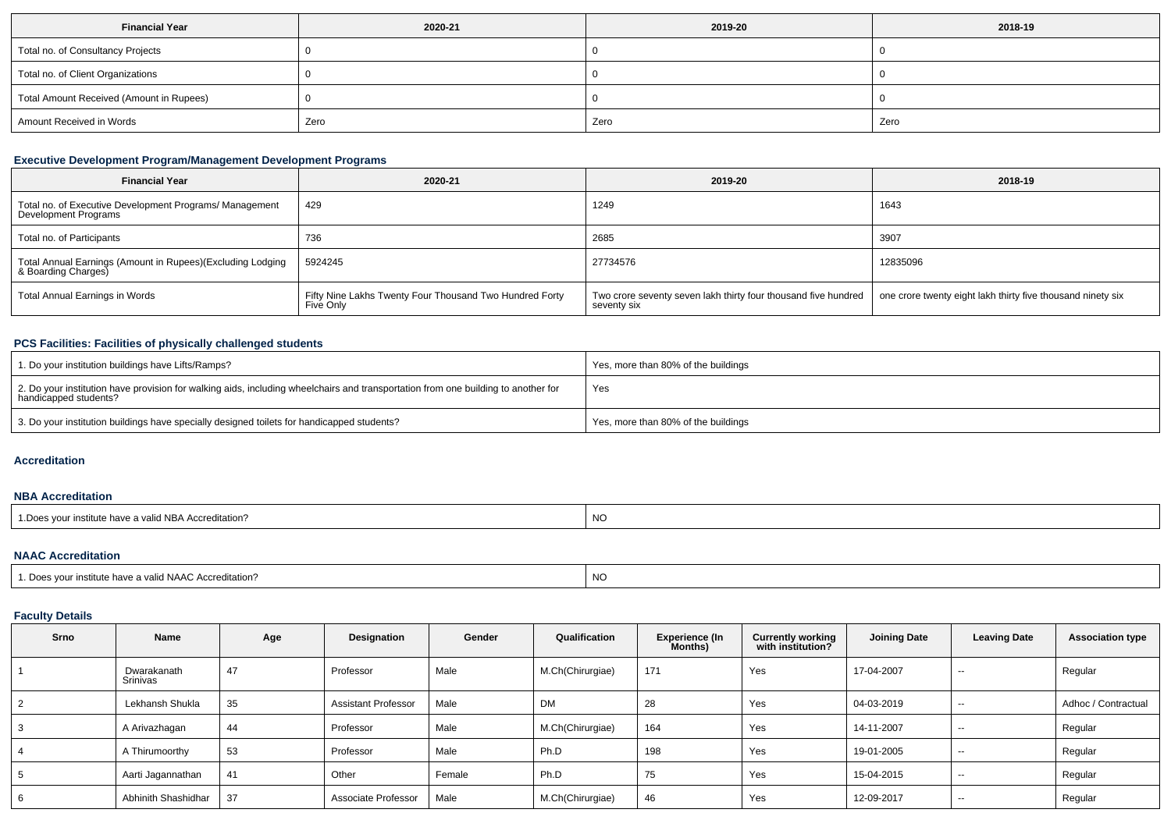| <b>Financial Year</b>                    | 2020-21 | 2019-20 | 2018-19 |
|------------------------------------------|---------|---------|---------|
| Total no. of Consultancy Projects        |         |         |         |
| Total no. of Client Organizations        |         |         |         |
| Total Amount Received (Amount in Rupees) |         |         |         |
| Amount Received in Words                 | Zero    | Zero    | Zero    |

# **Executive Development Program/Management Development Programs**

| <b>Financial Year</b>                                                             | 2020-21                                                              | 2019-20                                                                       | 2018-19                                                     |
|-----------------------------------------------------------------------------------|----------------------------------------------------------------------|-------------------------------------------------------------------------------|-------------------------------------------------------------|
| Total no. of Executive Development Programs/ Management<br>Development Programs   | 429                                                                  | 1249                                                                          | 1643                                                        |
| Total no. of Participants                                                         | 736                                                                  | 2685                                                                          | 3907                                                        |
| Total Annual Earnings (Amount in Rupees)(Excluding Lodging<br>& Boarding Charges) | 5924245                                                              | 27734576                                                                      | 12835096                                                    |
| Total Annual Earnings in Words                                                    | Fifty Nine Lakhs Twenty Four Thousand Two Hundred Forty<br>Five Only | Two crore seventy seven lakh thirty four thousand five hundred<br>seventy six | one crore twenty eight lakh thirty five thousand ninety six |

# **PCS Facilities: Facilities of physically challenged students**

| 1. Do your institution buildings have Lifts/Ramps?                                                                                                         | Yes, more than 80% of the buildings |
|------------------------------------------------------------------------------------------------------------------------------------------------------------|-------------------------------------|
| 2. Do your institution have provision for walking aids, including wheelchairs and transportation from one building to another for<br>handicapped students? | Yes                                 |
| 3. Do your institution buildings have specially designed toilets for handicapped students?                                                                 | Yes, more than 80% of the buildings |

#### **Accreditation**

#### **NBA Accreditation**

| e have a valid NBA Accreditation?<br>vour institute<br>.Does | <b>NO</b> |
|--------------------------------------------------------------|-----------|
|--------------------------------------------------------------|-----------|

#### **NAAC Accreditation**

| 1. Does your institute have a valid NAAC Accreditation? | N0 |
|---------------------------------------------------------|----|
|                                                         |    |

# **Faculty Details**

| Srno           | Name                    | Age | Designation                | Gender | Qualification    | <b>Experience (In</b><br>Months) | <b>Currently working</b><br>with institution? | <b>Joining Date</b> | <b>Leaving Date</b> | <b>Association type</b> |
|----------------|-------------------------|-----|----------------------------|--------|------------------|----------------------------------|-----------------------------------------------|---------------------|---------------------|-------------------------|
|                | Dwarakanath<br>Srinivas | 47  | Professor                  | Male   | M.Ch(Chirurgiae) | 171                              | Yes                                           | 17-04-2007          | $- -$               | Regular                 |
| $\overline{2}$ | Lekhansh Shukla         | 35  | <b>Assistant Professor</b> | Male   | DM               | 28                               | Yes                                           | 04-03-2019          | $- -$               | Adhoc / Contractual     |
| 3              | A Arivazhagan           | 44  | Professor                  | Male   | M.Ch(Chirurgiae) | 164                              | Yes                                           | 14-11-2007          | $- -$               | Regular                 |
| 4              | A Thirumoorthy          | 53  | Professor                  | Male   | Ph.D             | 198                              | Yes                                           | 19-01-2005          | $- -$               | Regular                 |
| 5              | Aarti Jagannathan       | 41  | Other                      | Female | Ph.D             | 75                               | Yes                                           | 15-04-2015          | $- -$               | Regular                 |
| 6              | Abhinith Shashidhar     | 37  | Associate Professor        | Male   | M.Ch(Chirurgiae) | 46                               | Yes                                           | 12-09-2017          | $- -$               | Regular                 |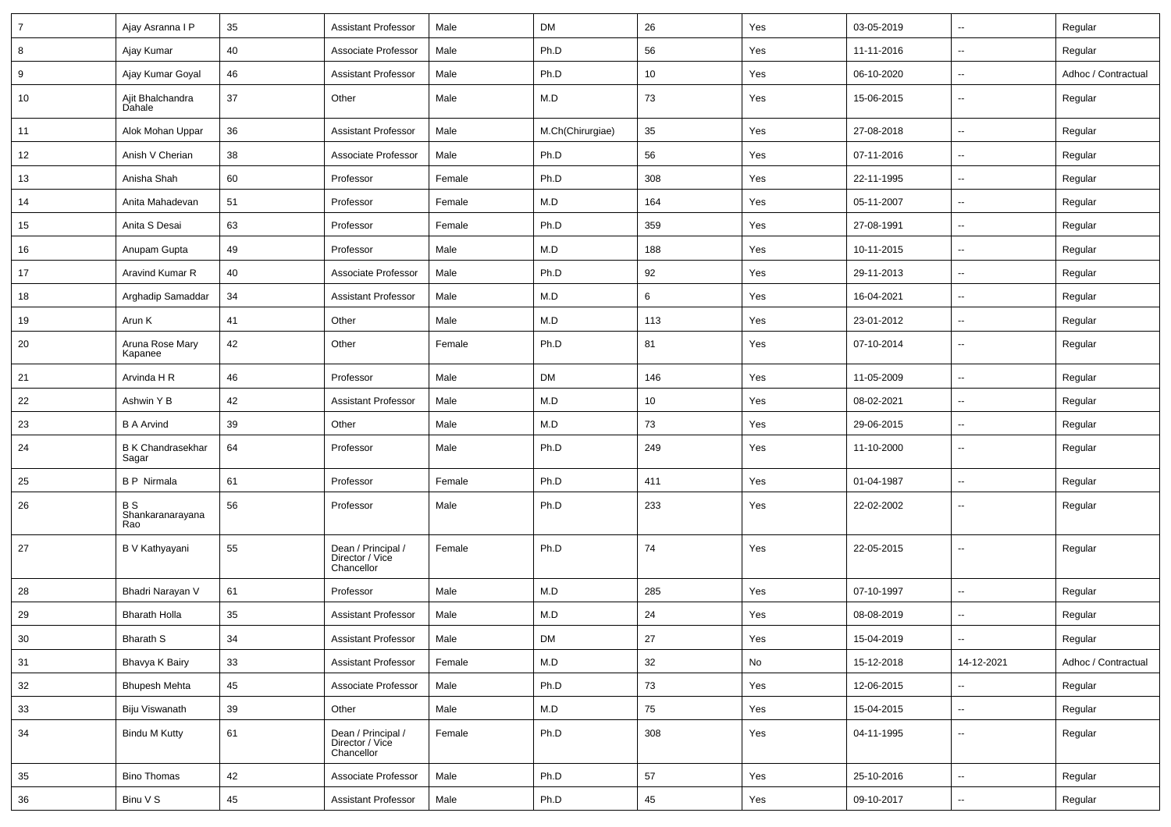| $\overline{7}$ | Ajay Asranna I P                     | 35 | <b>Assistant Professor</b>                          | Male   | <b>DM</b>        | 26              | Yes | 03-05-2019 | $\sim$                   | Regular             |
|----------------|--------------------------------------|----|-----------------------------------------------------|--------|------------------|-----------------|-----|------------|--------------------------|---------------------|
| 8              | Ajay Kumar                           | 40 | Associate Professor                                 | Male   | Ph.D             | 56              | Yes | 11-11-2016 | $\sim$                   | Regular             |
| 9              | Ajay Kumar Goyal                     | 46 | Assistant Professor                                 | Male   | Ph.D             | 10              | Yes | 06-10-2020 | $\sim$                   | Adhoc / Contractual |
| 10             | Ajit Bhalchandra<br>Dahale           | 37 | Other                                               | Male   | M.D              | 73              | Yes | 15-06-2015 | $\sim$                   | Regular             |
| 11             | Alok Mohan Uppar                     | 36 | <b>Assistant Professor</b>                          | Male   | M.Ch(Chirurgiae) | 35              | Yes | 27-08-2018 | $\sim$                   | Regular             |
| 12             | Anish V Cherian                      | 38 | Associate Professor                                 | Male   | Ph.D             | 56              | Yes | 07-11-2016 | Ξ.                       | Regular             |
| 13             | Anisha Shah                          | 60 | Professor                                           | Female | Ph.D             | 308             | Yes | 22-11-1995 | $\sim$                   | Regular             |
| 14             | Anita Mahadevan                      | 51 | Professor                                           | Female | M.D              | 164             | Yes | 05-11-2007 | $\sim$                   | Regular             |
| 15             | Anita S Desai                        | 63 | Professor                                           | Female | Ph.D             | 359             | Yes | 27-08-1991 | $\sim$                   | Regular             |
| 16             | Anupam Gupta                         | 49 | Professor                                           | Male   | M.D              | 188             | Yes | 10-11-2015 | $\sim$                   | Regular             |
| 17             | Aravind Kumar R                      | 40 | Associate Professor                                 | Male   | Ph.D             | 92              | Yes | 29-11-2013 | $\sim$                   | Regular             |
| 18             | Arghadip Samaddar                    | 34 | <b>Assistant Professor</b>                          | Male   | M.D              | 6               | Yes | 16-04-2021 | $\overline{a}$           | Regular             |
| 19             | Arun K                               | 41 | Other                                               | Male   | M.D              | 113             | Yes | 23-01-2012 | $\sim$                   | Regular             |
| 20             | Aruna Rose Mary<br>Kapanee           | 42 | Other                                               | Female | Ph.D             | 81              | Yes | 07-10-2014 | $\sim$                   | Regular             |
| 21             | Arvinda H R                          | 46 | Professor                                           | Male   | <b>DM</b>        | 146             | Yes | 11-05-2009 | $\sim$                   | Regular             |
| 22             | Ashwin Y B                           | 42 | Assistant Professor                                 | Male   | M.D              | 10 <sup>°</sup> | Yes | 08-02-2021 | $\sim$                   | Regular             |
| 23             | <b>B A Arvind</b>                    | 39 | Other                                               | Male   | M.D              | 73              | Yes | 29-06-2015 | $\sim$                   | Regular             |
| 24             | B K Chandrasekhar<br>Sagar           | 64 | Professor                                           | Male   | Ph.D             | 249             | Yes | 11-10-2000 | $\sim$                   | Regular             |
| 25             | <b>BP</b> Nirmala                    | 61 | Professor                                           | Female | Ph.D             | 411             | Yes | 01-04-1987 | $\sim$                   | Regular             |
| 26             | <b>BS</b><br>Shankaranarayana<br>Rao | 56 | Professor                                           | Male   | Ph.D             | 233             | Yes | 22-02-2002 |                          | Regular             |
| 27             | B V Kathyayani                       | 55 | Dean / Principal /<br>Director / Vice<br>Chancellor | Female | Ph.D             | 74              | Yes | 22-05-2015 | $\overline{\phantom{a}}$ | Regular             |
| 28             | Bhadri Narayan V                     | 61 | Professor                                           | Male   | M.D              | 285             | Yes | 07-10-1997 | Ξ.                       | Regular             |
| 29             | <b>Bharath Holla</b>                 | 35 | <b>Assistant Professor</b>                          | Male   | M.D              | 24              | Yes | 08-08-2019 | $\sim$                   | Regular             |
| $30\,$         | Bharath S                            | 34 | Assistant Professor                                 | Male   | DM               | 27              | Yes | 15-04-2019 |                          | Regular             |
| 31             | Bhavya K Bairy                       | 33 | <b>Assistant Professor</b>                          | Female | M.D              | 32              | No  | 15-12-2018 | 14-12-2021               | Adhoc / Contractual |
| 32             | <b>Bhupesh Mehta</b>                 | 45 | Associate Professor                                 | Male   | Ph.D             | 73              | Yes | 12-06-2015 | ω.                       | Regular             |
| 33             | Biju Viswanath                       | 39 | Other                                               | Male   | M.D              | 75              | Yes | 15-04-2015 | $\sim$                   | Regular             |
| 34             | <b>Bindu M Kutty</b>                 | 61 | Dean / Principal /<br>Director / Vice<br>Chancellor | Female | Ph.D             | 308             | Yes | 04-11-1995 | $\overline{\phantom{a}}$ | Regular             |
| 35             | <b>Bino Thomas</b>                   | 42 | Associate Professor                                 | Male   | Ph.D             | 57              | Yes | 25-10-2016 | ц.                       | Regular             |
| 36             | Binu V S                             | 45 | <b>Assistant Professor</b>                          | Male   | Ph.D             | 45              | Yes | 09-10-2017 | $\overline{\phantom{a}}$ | Regular             |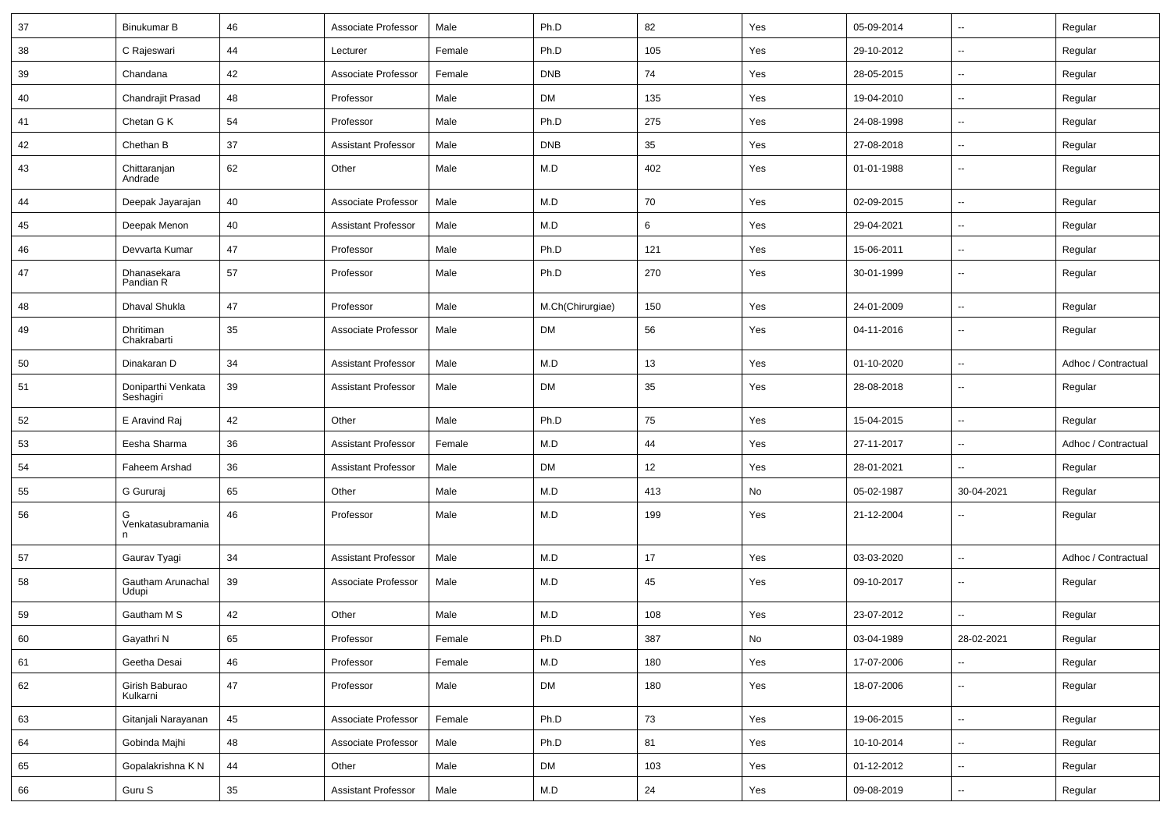| 37 | Binukumar B                     | 46     | Associate Professor        | Male   | Ph.D             | 82  | Yes | 05-09-2014 | ⊶.                       | Regular             |
|----|---------------------------------|--------|----------------------------|--------|------------------|-----|-----|------------|--------------------------|---------------------|
| 38 | C Rajeswari                     | 44     | Lecturer                   | Female | Ph.D             | 105 | Yes | 29-10-2012 | -−                       | Regular             |
| 39 | Chandana                        | 42     | Associate Professor        | Female | <b>DNB</b>       | 74  | Yes | 28-05-2015 | $\overline{\phantom{a}}$ | Regular             |
| 40 | Chandrajit Prasad               | 48     | Professor                  | Male   | DM               | 135 | Yes | 19-04-2010 | $\overline{\phantom{a}}$ | Regular             |
| 41 | Chetan G K                      | 54     | Professor                  | Male   | Ph.D             | 275 | Yes | 24-08-1998 | -−                       | Regular             |
| 42 | Chethan B                       | 37     | <b>Assistant Professor</b> | Male   | <b>DNB</b>       | 35  | Yes | 27-08-2018 | $\sim$                   | Regular             |
| 43 | Chittaranjan<br>Andrade         | 62     | Other                      | Male   | M.D              | 402 | Yes | 01-01-1988 | ⊶.                       | Regular             |
| 44 | Deepak Jayarajan                | 40     | Associate Professor        | Male   | M.D              | 70  | Yes | 02-09-2015 | $\sim$                   | Regular             |
| 45 | Deepak Menon                    | 40     | <b>Assistant Professor</b> | Male   | M.D              | 6   | Yes | 29-04-2021 | --                       | Regular             |
| 46 | Devvarta Kumar                  | 47     | Professor                  | Male   | Ph.D             | 121 | Yes | 15-06-2011 | $\sim$                   | Regular             |
| 47 | Dhanasekara<br>Pandian R        | 57     | Professor                  | Male   | Ph.D             | 270 | Yes | 30-01-1999 | --                       | Regular             |
| 48 | Dhaval Shukla                   | 47     | Professor                  | Male   | M.Ch(Chirurgiae) | 150 | Yes | 24-01-2009 | $\overline{\phantom{a}}$ | Regular             |
| 49 | Dhritiman<br>Chakrabarti        | 35     | Associate Professor        | Male   | DM               | 56  | Yes | 04-11-2016 | --                       | Regular             |
| 50 | Dinakaran D                     | 34     | <b>Assistant Professor</b> | Male   | M.D              | 13  | Yes | 01-10-2020 | -−                       | Adhoc / Contractual |
| 51 | Doniparthi Venkata<br>Seshagiri | 39     | <b>Assistant Professor</b> | Male   | <b>DM</b>        | 35  | Yes | 28-08-2018 | ⊷.                       | Regular             |
| 52 | E Aravind Raj                   | 42     | Other                      | Male   | Ph.D             | 75  | Yes | 15-04-2015 | Ξ.                       | Regular             |
| 53 | Eesha Sharma                    | 36     | <b>Assistant Professor</b> | Female | M.D              | 44  | Yes | 27-11-2017 | ⊶.                       | Adhoc / Contractual |
| 54 | Faheem Arshad                   | 36     | <b>Assistant Professor</b> | Male   | <b>DM</b>        | 12  | Yes | 28-01-2021 | -−                       | Regular             |
| 55 | G Gururaj                       | 65     | Other                      | Male   | M.D              | 413 | No  | 05-02-1987 | 30-04-2021               | Regular             |
| 56 | G<br>Venkatasubramania<br>n     | 46     | Professor                  | Male   | M.D              | 199 | Yes | 21-12-2004 |                          | Regular             |
| 57 | Gaurav Tyagi                    | 34     | <b>Assistant Professor</b> | Male   | M.D              | 17  | Yes | 03-03-2020 | Ξ.                       | Adhoc / Contractual |
| 58 | Gautham Arunachal<br>Udupi      | 39     | Associate Professor        | Male   | M.D              | 45  | Yes | 09-10-2017 | $\overline{\phantom{a}}$ | Regular             |
| 59 | Gautham M S                     | 42     | Other                      | Male   | M.D              | 108 | Yes | 23-07-2012 | $\overline{\phantom{a}}$ | Regular             |
| 60 | Gayathri N                      | 65     | Professor                  | Female | Ph.D             | 387 | No  | 03-04-1989 | 28-02-2021               | Regular             |
| 61 | Geetha Desai                    | 46     | Professor                  | Female | M.D              | 180 | Yes | 17-07-2006 | Щ,                       | Regular             |
| 62 | Girish Baburao<br>Kulkarni      | $47\,$ | Professor                  | Male   | <b>DM</b>        | 180 | Yes | 18-07-2006 | $\sim$                   | Regular             |
| 63 | Gitanjali Narayanan             | 45     | Associate Professor        | Female | Ph.D             | 73  | Yes | 19-06-2015 | $\sim$                   | Regular             |
| 64 | Gobinda Majhi                   | 48     | Associate Professor        | Male   | Ph.D             | 81  | Yes | 10-10-2014 | Щ,                       | Regular             |
| 65 | Gopalakrishna K N               | 44     | Other                      | Male   | <b>DM</b>        | 103 | Yes | 01-12-2012 | щ.                       | Regular             |
| 66 | Guru S                          | $35\,$ | Assistant Professor        | Male   | M.D              | 24  | Yes | 09-08-2019 | щ.                       | Regular             |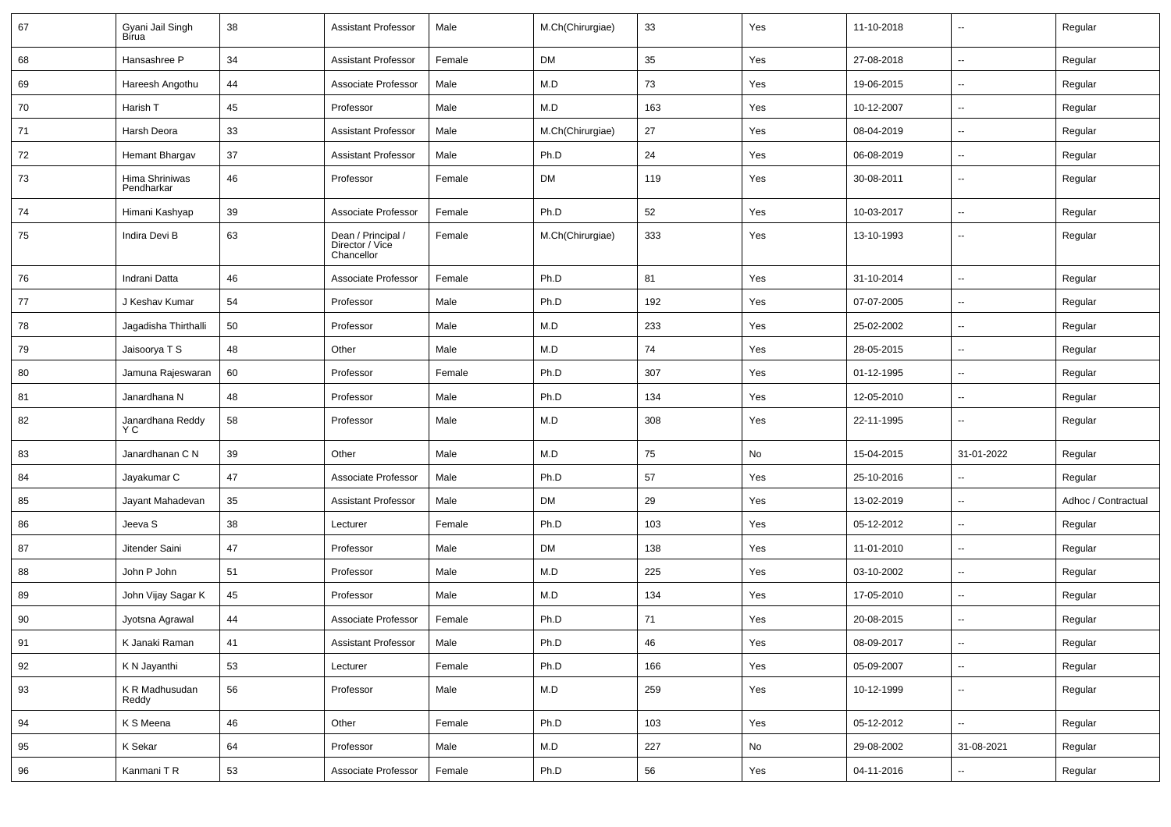| 67 | Gyani Jail Singh<br>Bírua    | 38 | <b>Assistant Professor</b>                          | Male   | M.Ch(Chirurgiae) | 33  | Yes | 11-10-2018 |                          | Regular             |
|----|------------------------------|----|-----------------------------------------------------|--------|------------------|-----|-----|------------|--------------------------|---------------------|
| 68 | Hansashree P                 | 34 | Assistant Professor                                 | Female | <b>DM</b>        | 35  | Yes | 27-08-2018 | $\sim$                   | Regular             |
| 69 | Hareesh Angothu              | 44 | Associate Professor                                 | Male   | M.D              | 73  | Yes | 19-06-2015 | $\sim$                   | Regular             |
| 70 | Harish T                     | 45 | Professor                                           | Male   | M.D              | 163 | Yes | 10-12-2007 | $\overline{\phantom{a}}$ | Regular             |
| 71 | Harsh Deora                  | 33 | <b>Assistant Professor</b>                          | Male   | M.Ch(Chirurgiae) | 27  | Yes | 08-04-2019 | ۰.                       | Regular             |
| 72 | Hemant Bhargav               | 37 | <b>Assistant Professor</b>                          | Male   | Ph.D             | 24  | Yes | 06-08-2019 | $\sim$                   | Regular             |
| 73 | Hima Shriniwas<br>Pendharkar | 46 | Professor                                           | Female | <b>DM</b>        | 119 | Yes | 30-08-2011 | $\sim$                   | Regular             |
| 74 | Himani Kashyap               | 39 | Associate Professor                                 | Female | Ph.D             | 52  | Yes | 10-03-2017 | $\sim$                   | Regular             |
| 75 | Indira Devi B                | 63 | Dean / Principal /<br>Director / Vice<br>Chancellor | Female | M.Ch(Chirurgiae) | 333 | Yes | 13-10-1993 | --                       | Regular             |
| 76 | Indrani Datta                | 46 | Associate Professor                                 | Female | Ph.D             | 81  | Yes | 31-10-2014 | $\sim$                   | Regular             |
| 77 | J Keshav Kumar               | 54 | Professor                                           | Male   | Ph.D             | 192 | Yes | 07-07-2005 | Ξ.                       | Regular             |
| 78 | Jagadisha Thirthalli         | 50 | Professor                                           | Male   | M.D              | 233 | Yes | 25-02-2002 | $\sim$                   | Regular             |
| 79 | Jaisoorya T S                | 48 | Other                                               | Male   | M.D              | 74  | Yes | 28-05-2015 | $\sim$                   | Regular             |
| 80 | Jamuna Rajeswaran            | 60 | Professor                                           | Female | Ph.D             | 307 | Yes | 01-12-1995 | Ξ.                       | Regular             |
| 81 | Janardhana N                 | 48 | Professor                                           | Male   | Ph.D             | 134 | Yes | 12-05-2010 | $\mathbf{u}$             | Regular             |
| 82 | Janardhana Reddy<br>Y C      | 58 | Professor                                           | Male   | M.D              | 308 | Yes | 22-11-1995 | $\sim$                   | Regular             |
| 83 | Janardhanan C N              | 39 | Other                                               | Male   | M.D              | 75  | No  | 15-04-2015 | 31-01-2022               | Regular             |
| 84 | Jayakumar C                  | 47 | Associate Professor                                 | Male   | Ph.D             | 57  | Yes | 25-10-2016 | ۰.                       | Regular             |
| 85 | Jayant Mahadevan             | 35 | <b>Assistant Professor</b>                          | Male   | <b>DM</b>        | 29  | Yes | 13-02-2019 | $\sim$                   | Adhoc / Contractual |
| 86 | Jeeva S                      | 38 | Lecturer                                            | Female | Ph.D             | 103 | Yes | 05-12-2012 | $\overline{\phantom{a}}$ | Regular             |
| 87 | Jitender Saini               | 47 | Professor                                           | Male   | <b>DM</b>        | 138 | Yes | 11-01-2010 | Ξ.                       | Regular             |
| 88 | John P John                  | 51 | Professor                                           | Male   | M.D              | 225 | Yes | 03-10-2002 | $\sim$                   | Regular             |
| 89 | John Vijay Sagar K           | 45 | Professor                                           | Male   | M.D              | 134 | Yes | 17-05-2010 | $\sim$                   | Regular             |
| 90 | Jyotsna Agrawal              | 44 | Associate Professor                                 | Female | Ph.D             | 71  | Yes | 20-08-2015 | $\sim$                   | Regular             |
| 91 | K Janaki Raman               | 41 | <b>Assistant Professor</b>                          | Male   | Ph.D             | 46  | Yes | 08-09-2017 | $\overline{\phantom{a}}$ | Regular             |
| 92 | K N Jayanthi                 | 53 | Lecturer                                            | Female | Ph.D             | 166 | Yes | 05-09-2007 | $\sim$                   | Regular             |
| 93 | K R Madhusudan<br>Reddy      | 56 | Professor                                           | Male   | M.D              | 259 | Yes | 10-12-1999 | Ξ.                       | Regular             |
| 94 | K S Meena                    | 46 | Other                                               | Female | Ph.D             | 103 | Yes | 05-12-2012 | Ш,                       | Regular             |
| 95 | K Sekar                      | 64 | Professor                                           | Male   | M.D              | 227 | No  | 29-08-2002 | 31-08-2021               | Regular             |
| 96 | Kanmani TR                   | 53 | Associate Professor                                 | Female | Ph.D             | 56  | Yes | 04-11-2016 | ц.                       | Regular             |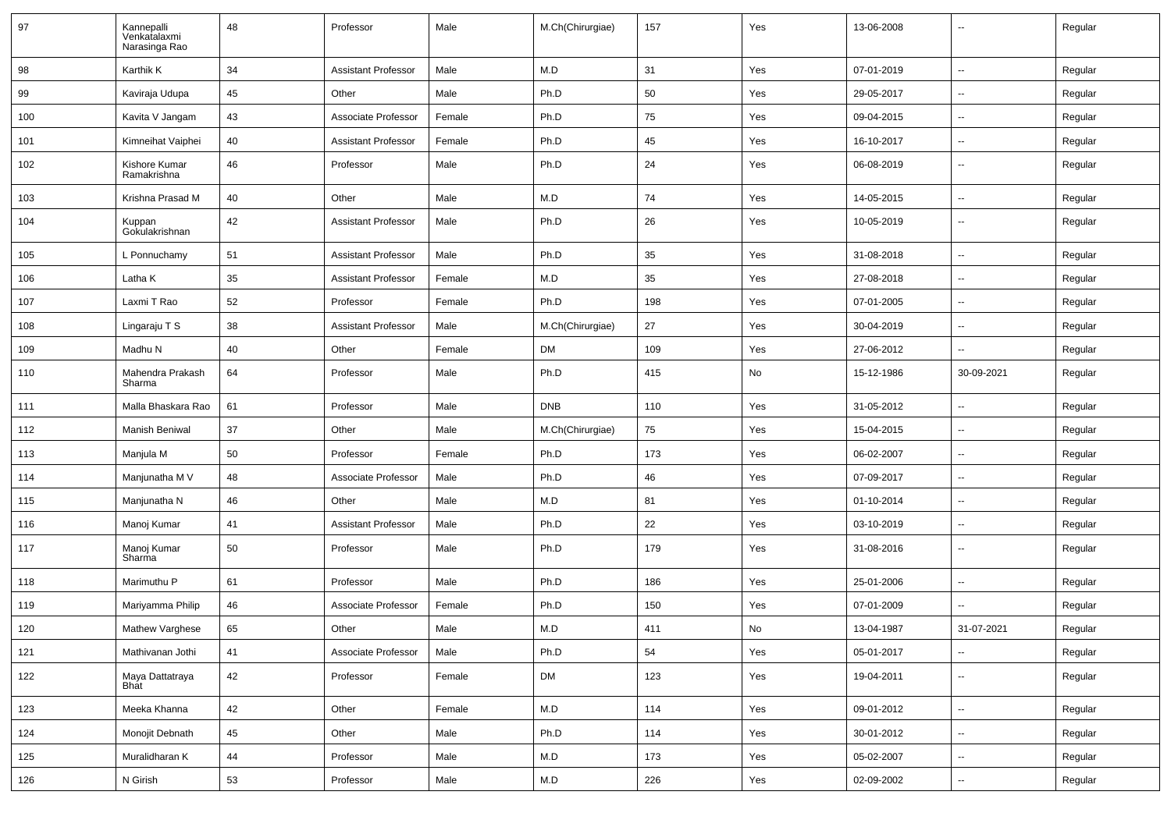| 97  | Kannepalli<br>Venkatalaxmi<br>Narasinga Rao | 48 | Professor                  | Male   | M.Ch(Chirurgiae)        | 157 | Yes | 13-06-2008 |                          | Regular |
|-----|---------------------------------------------|----|----------------------------|--------|-------------------------|-----|-----|------------|--------------------------|---------|
| 98  | Karthik K                                   | 34 | <b>Assistant Professor</b> | Male   | M.D                     | 31  | Yes | 07-01-2019 | $\sim$                   | Regular |
| 99  | Kaviraja Udupa                              | 45 | Other                      | Male   | Ph.D                    | 50  | Yes | 29-05-2017 | $\overline{\phantom{a}}$ | Regular |
| 100 | Kavita V Jangam                             | 43 | Associate Professor        | Female | Ph.D                    | 75  | Yes | 09-04-2015 | $\overline{\phantom{a}}$ | Regular |
| 101 | Kimneihat Vaiphei                           | 40 | <b>Assistant Professor</b> | Female | Ph.D                    | 45  | Yes | 16-10-2017 | $\sim$                   | Regular |
| 102 | Kishore Kumar<br>Ramakrishna                | 46 | Professor                  | Male   | Ph.D                    | 24  | Yes | 06-08-2019 | --                       | Regular |
| 103 | Krishna Prasad M                            | 40 | Other                      | Male   | M.D                     | 74  | Yes | 14-05-2015 | $\overline{\phantom{a}}$ | Regular |
| 104 | Kuppan<br>Gokulakrishnan                    | 42 | <b>Assistant Professor</b> | Male   | Ph.D                    | 26  | Yes | 10-05-2019 | $\overline{\phantom{a}}$ | Regular |
| 105 | L Ponnuchamy                                | 51 | <b>Assistant Professor</b> | Male   | Ph.D                    | 35  | Yes | 31-08-2018 | ÷.                       | Regular |
| 106 | Latha K                                     | 35 | <b>Assistant Professor</b> | Female | M.D                     | 35  | Yes | 27-08-2018 | $\sim$                   | Regular |
| 107 | Laxmi T Rao                                 | 52 | Professor                  | Female | Ph.D                    | 198 | Yes | 07-01-2005 | $\overline{\phantom{a}}$ | Regular |
| 108 | Lingaraju T S                               | 38 | <b>Assistant Professor</b> | Male   | M.Ch(Chirurgiae)        | 27  | Yes | 30-04-2019 | $\overline{\phantom{a}}$ | Regular |
| 109 | Madhu N                                     | 40 | Other                      | Female | DM                      | 109 | Yes | 27-06-2012 | $\overline{\phantom{a}}$ | Regular |
| 110 | Mahendra Prakash<br>Sharma                  | 64 | Professor                  | Male   | Ph.D                    | 415 | No  | 15-12-1986 | 30-09-2021               | Regular |
| 111 | Malla Bhaskara Rao                          | 61 | Professor                  | Male   | <b>DNB</b>              | 110 | Yes | 31-05-2012 | $\overline{\phantom{a}}$ | Regular |
| 112 | Manish Beniwal                              | 37 | Other                      | Male   | M.Ch(Chirurgiae)        | 75  | Yes | 15-04-2015 | $\sim$                   | Regular |
| 113 | Manjula M                                   | 50 | Professor                  | Female | Ph.D                    | 173 | Yes | 06-02-2007 | $\sim$                   | Regular |
| 114 | Manjunatha M V                              | 48 | Associate Professor        | Male   | Ph.D                    | 46  | Yes | 07-09-2017 | $\overline{\phantom{a}}$ | Regular |
| 115 | Manjunatha N                                | 46 | Other                      | Male   | M.D                     | 81  | Yes | 01-10-2014 | $\overline{\phantom{a}}$ | Regular |
| 116 | Manoj Kumar                                 | 41 | <b>Assistant Professor</b> | Male   | Ph.D                    | 22  | Yes | 03-10-2019 | $\sim$                   | Regular |
| 117 | Manoj Kumar<br>Sharma                       | 50 | Professor                  | Male   | Ph.D                    | 179 | Yes | 31-08-2016 | --                       | Regular |
| 118 | Marimuthu P                                 | 61 | Professor                  | Male   | Ph.D                    | 186 | Yes | 25-01-2006 | $\overline{\phantom{a}}$ | Regular |
| 119 | Mariyamma Philip                            | 46 | Associate Professor        | Female | Ph.D                    | 150 | Yes | 07-01-2009 | $\overline{a}$           | Regular |
| 120 | Mathew Varghese                             | 65 | Other                      | Male   | M.D                     | 411 | No  | 13-04-1987 | 31-07-2021               | Regular |
| 121 | Mathivanan Jothi                            | 41 | Associate Professor        | Male   | Ph.D                    | 54  | Yes | 05-01-2017 | $\sim$                   | Regular |
| 122 | Maya Dattatraya<br>Bhat                     | 42 | Professor                  | Female | <b>DM</b>               | 123 | Yes | 19-04-2011 | Щ,                       | Regular |
| 123 | Meeka Khanna                                | 42 | Other                      | Female | M.D                     | 114 | Yes | 09-01-2012 | $\sim$                   | Regular |
| 124 | Monojit Debnath                             | 45 | Other                      | Male   | Ph.D                    | 114 | Yes | 30-01-2012 | $\sim$                   | Regular |
| 125 | Muralidharan K                              | 44 | Professor                  | Male   | M.D                     | 173 | Yes | 05-02-2007 | $\sim$                   | Regular |
| 126 | N Girish                                    | 53 | Professor                  | Male   | $\mathsf{M}.\mathsf{D}$ | 226 | Yes | 02-09-2002 | $\sim$                   | Regular |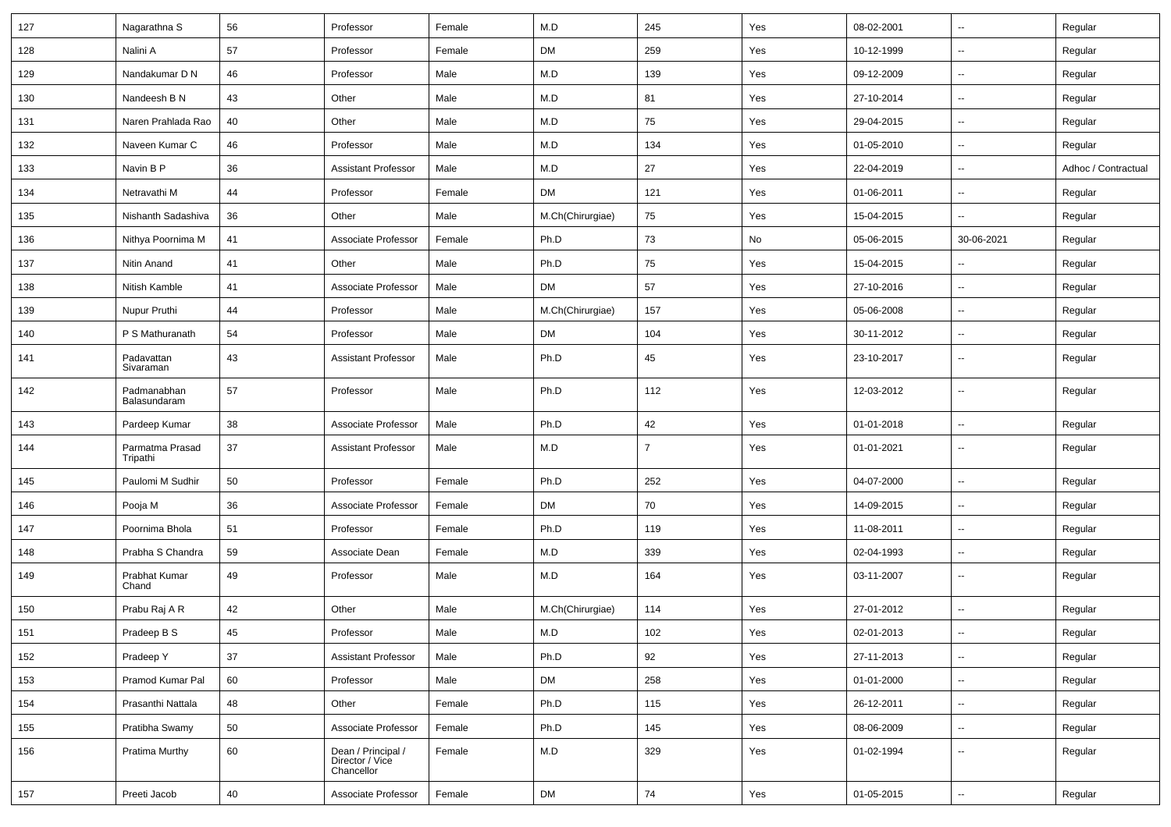| 127 | Nagarathna S                | 56 | Professor                                           | Female | M.D              | 245            | Yes | 08-02-2001 | $\overline{\phantom{a}}$ | Regular             |
|-----|-----------------------------|----|-----------------------------------------------------|--------|------------------|----------------|-----|------------|--------------------------|---------------------|
| 128 | Nalini A                    | 57 | Professor                                           | Female | <b>DM</b>        | 259            | Yes | 10-12-1999 | Ξ.                       | Regular             |
| 129 | Nandakumar D N              | 46 | Professor                                           | Male   | M.D              | 139            | Yes | 09-12-2009 | --                       | Regular             |
| 130 | Nandeesh B N                | 43 | Other                                               | Male   | M.D              | 81             | Yes | 27-10-2014 | -−                       | Regular             |
| 131 | Naren Prahlada Rao          | 40 | Other                                               | Male   | M.D              | 75             | Yes | 29-04-2015 | ⊷.                       | Regular             |
| 132 | Naveen Kumar C              | 46 | Professor                                           | Male   | M.D              | 134            | Yes | 01-05-2010 | $\overline{\phantom{a}}$ | Regular             |
| 133 | Navin B P                   | 36 | <b>Assistant Professor</b>                          | Male   | M.D              | 27             | Yes | 22-04-2019 | $\sim$                   | Adhoc / Contractual |
| 134 | Netravathi M                | 44 | Professor                                           | Female | <b>DM</b>        | 121            | Yes | 01-06-2011 | $\sim$                   | Regular             |
| 135 | Nishanth Sadashiva          | 36 | Other                                               | Male   | M.Ch(Chirurgiae) | 75             | Yes | 15-04-2015 | -−                       | Regular             |
| 136 | Nithya Poornima M           | 41 | Associate Professor                                 | Female | Ph.D             | 73             | No  | 05-06-2015 | 30-06-2021               | Regular             |
| 137 | Nitin Anand                 | 41 | Other                                               | Male   | Ph.D             | 75             | Yes | 15-04-2015 | $\overline{\phantom{a}}$ | Regular             |
| 138 | Nitish Kamble               | 41 | Associate Professor                                 | Male   | <b>DM</b>        | 57             | Yes | 27-10-2016 | Ξ.                       | Regular             |
| 139 | Nupur Pruthi                | 44 | Professor                                           | Male   | M.Ch(Chirurgiae) | 157            | Yes | 05-06-2008 | $\overline{\phantom{a}}$ | Regular             |
| 140 | P S Mathuranath             | 54 | Professor                                           | Male   | <b>DM</b>        | 104            | Yes | 30-11-2012 | ⊷.                       | Regular             |
| 141 | Padavattan<br>Sivaraman     | 43 | <b>Assistant Professor</b>                          | Male   | Ph.D             | 45             | Yes | 23-10-2017 | --                       | Regular             |
| 142 | Padmanabhan<br>Balasundaram | 57 | Professor                                           | Male   | Ph.D             | 112            | Yes | 12-03-2012 | $\overline{\phantom{a}}$ | Regular             |
| 143 | Pardeep Kumar               | 38 | Associate Professor                                 | Male   | Ph.D             | 42             | Yes | 01-01-2018 | --                       | Regular             |
| 144 | Parmatma Prasad<br>Tripathi | 37 | <b>Assistant Professor</b>                          | Male   | M.D              | $\overline{7}$ | Yes | 01-01-2021 | ⊷.                       | Regular             |
| 145 | Paulomi M Sudhir            | 50 | Professor                                           | Female | Ph.D             | 252            | Yes | 04-07-2000 | $\overline{\phantom{a}}$ | Regular             |
| 146 | Pooja M                     | 36 | Associate Professor                                 | Female | <b>DM</b>        | 70             | Yes | 14-09-2015 | $\overline{\phantom{a}}$ | Regular             |
| 147 | Poornima Bhola              | 51 | Professor                                           | Female | Ph.D             | 119            | Yes | 11-08-2011 | -−                       | Regular             |
| 148 | Prabha S Chandra            | 59 | Associate Dean                                      | Female | M.D              | 339            | Yes | 02-04-1993 | $\sim$                   | Regular             |
| 149 | Prabhat Kumar<br>Chand      | 49 | Professor                                           | Male   | M.D              | 164            | Yes | 03-11-2007 | ⊷.                       | Regular             |
| 150 | Prabu Raj A R               | 42 | Other                                               | Male   | M.Ch(Chirurgiae) | 114            | Yes | 27-01-2012 | $\overline{\phantom{a}}$ | Regular             |
| 151 | Pradeep B S                 | 45 | Professor                                           | Male   | M.D              | 102            | Yes | 02-01-2013 | $\overline{\phantom{a}}$ | Regular             |
| 152 | Pradeep Y                   | 37 | <b>Assistant Professor</b>                          | Male   | Ph.D             | 92             | Yes | 27-11-2013 | ш,                       | Regular             |
| 153 | Pramod Kumar Pal            | 60 | Professor                                           | Male   | DM               | 258            | Yes | 01-01-2000 | $\sim$                   | Regular             |
| 154 | Prasanthi Nattala           | 48 | Other                                               | Female | Ph.D             | 115            | Yes | 26-12-2011 | $\sim$                   | Regular             |
| 155 | Pratibha Swamy              | 50 | Associate Professor                                 | Female | Ph.D             | 145            | Yes | 08-06-2009 | $\sim$                   | Regular             |
| 156 | Pratima Murthy              | 60 | Dean / Principal /<br>Director / Vice<br>Chancellor | Female | M.D              | 329            | Yes | 01-02-1994 | ⊷.                       | Regular             |
| 157 | Preeti Jacob                | 40 | Associate Professor                                 | Female | <b>DM</b>        | 74             | Yes | 01-05-2015 | н.                       | Regular             |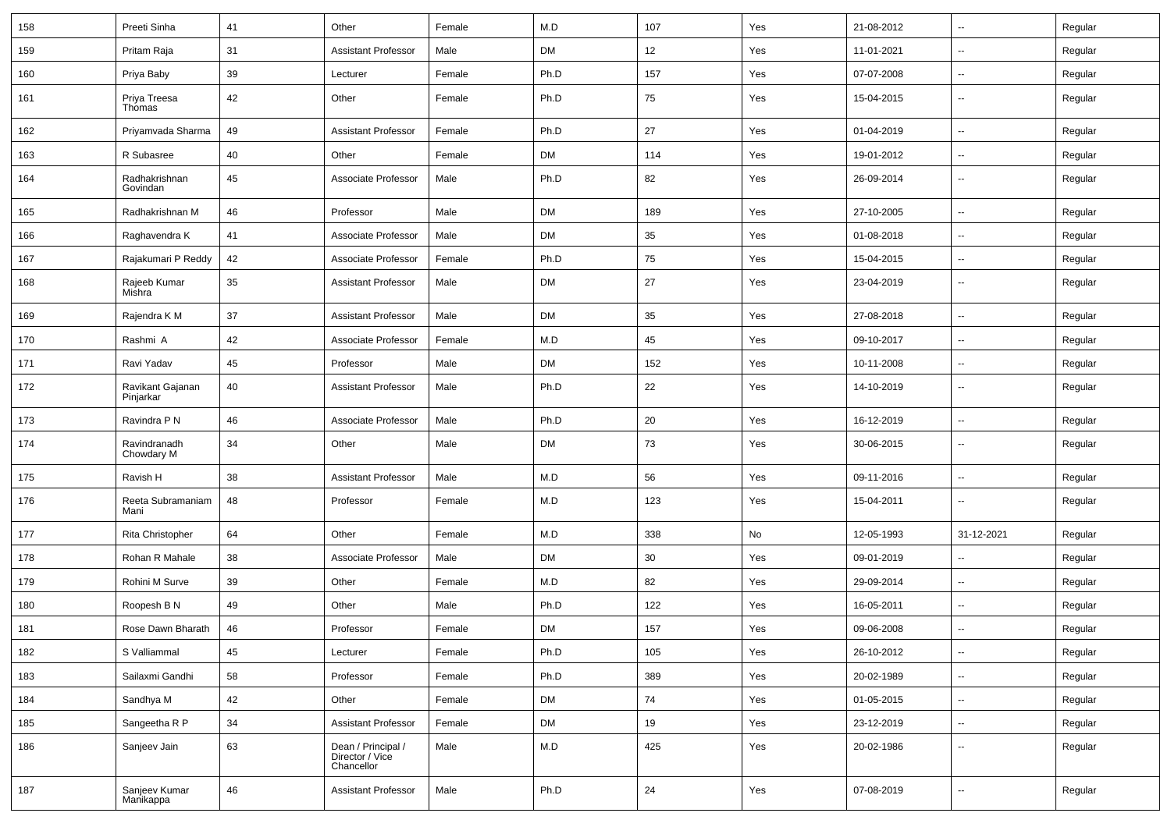| 158 | Preeti Sinha                  | 41 | Other                                               | Female | M.D       | 107 | Yes | 21-08-2012 | $\sim$                   | Regular |
|-----|-------------------------------|----|-----------------------------------------------------|--------|-----------|-----|-----|------------|--------------------------|---------|
| 159 | Pritam Raja                   | 31 | <b>Assistant Professor</b>                          | Male   | <b>DM</b> | 12  | Yes | 11-01-2021 | $\sim$                   | Regular |
| 160 | Priya Baby                    | 39 | Lecturer                                            | Female | Ph.D      | 157 | Yes | 07-07-2008 | $\overline{\phantom{a}}$ | Regular |
| 161 | Priya Treesa<br>Thomas        | 42 | Other                                               | Female | Ph.D      | 75  | Yes | 15-04-2015 | $\overline{\phantom{a}}$ | Regular |
| 162 | Priyamvada Sharma             | 49 | <b>Assistant Professor</b>                          | Female | Ph.D      | 27  | Yes | 01-04-2019 | $\overline{\phantom{a}}$ | Regular |
| 163 | R Subasree                    | 40 | Other                                               | Female | <b>DM</b> | 114 | Yes | 19-01-2012 | $\overline{\phantom{a}}$ | Regular |
| 164 | Radhakrishnan<br>Govindan     | 45 | Associate Professor                                 | Male   | Ph.D      | 82  | Yes | 26-09-2014 | $\mathbf{u}$             | Regular |
| 165 | Radhakrishnan M               | 46 | Professor                                           | Male   | <b>DM</b> | 189 | Yes | 27-10-2005 | $\overline{\phantom{a}}$ | Regular |
| 166 | Raghavendra K                 | 41 | Associate Professor                                 | Male   | <b>DM</b> | 35  | Yes | 01-08-2018 | $\overline{\phantom{a}}$ | Regular |
| 167 | Rajakumari P Reddy            | 42 | Associate Professor                                 | Female | Ph.D      | 75  | Yes | 15-04-2015 | $\sim$                   | Regular |
| 168 | Rajeeb Kumar<br>Mishra        | 35 | <b>Assistant Professor</b>                          | Male   | DM        | 27  | Yes | 23-04-2019 | -−                       | Regular |
| 169 | Rajendra K M                  | 37 | <b>Assistant Professor</b>                          | Male   | <b>DM</b> | 35  | Yes | 27-08-2018 | Ξ.                       | Regular |
| 170 | Rashmi A                      | 42 | Associate Professor                                 | Female | M.D       | 45  | Yes | 09-10-2017 | $\overline{\phantom{a}}$ | Regular |
| 171 | Ravi Yadav                    | 45 | Professor                                           | Male   | DM        | 152 | Yes | 10-11-2008 | -−                       | Regular |
| 172 | Ravikant Gajanan<br>Pinjarkar | 40 | <b>Assistant Professor</b>                          | Male   | Ph.D      | 22  | Yes | 14-10-2019 | $\overline{\phantom{a}}$ | Regular |
| 173 | Ravindra P N                  | 46 | Associate Professor                                 | Male   | Ph.D      | 20  | Yes | 16-12-2019 | $\overline{\phantom{a}}$ | Regular |
| 174 | Ravindranadh<br>Chowdary M    | 34 | Other                                               | Male   | <b>DM</b> | 73  | Yes | 30-06-2015 | $\overline{\phantom{a}}$ | Regular |
| 175 | Ravish H                      | 38 | <b>Assistant Professor</b>                          | Male   | M.D       | 56  | Yes | 09-11-2016 | $\overline{\phantom{a}}$ | Regular |
| 176 | Reeta Subramaniam<br>Mani     | 48 | Professor                                           | Female | M.D       | 123 | Yes | 15-04-2011 | $\sim$                   | Regular |
| 177 | Rita Christopher              | 64 | Other                                               | Female | M.D       | 338 | No  | 12-05-1993 | 31-12-2021               | Regular |
| 178 | Rohan R Mahale                | 38 | Associate Professor                                 | Male   | <b>DM</b> | 30  | Yes | 09-01-2019 |                          | Regular |
| 179 | Rohini M Surve                | 39 | Other                                               | Female | M.D       | 82  | Yes | 29-09-2014 | $\overline{\phantom{a}}$ | Regular |
| 180 | Roopesh B N                   | 49 | Other                                               | Male   | Ph.D      | 122 | Yes | 16-05-2011 | $\overline{\phantom{a}}$ | Regular |
| 181 | Rose Dawn Bharath             | 46 | Professor                                           | Female | DM        | 157 | Yes | 09-06-2008 | --                       | Regular |
| 182 | S Valliammal                  | 45 | Lecturer                                            | Female | Ph.D      | 105 | Yes | 26-10-2012 | $\sim$                   | Regular |
| 183 | Sailaxmi Gandhi               | 58 | Professor                                           | Female | Ph.D      | 389 | Yes | 20-02-1989 | $\sim$                   | Regular |
| 184 | Sandhya M                     | 42 | Other                                               | Female | DM        | 74  | Yes | 01-05-2015 | $\sim$                   | Regular |
| 185 | Sangeetha R P                 | 34 | <b>Assistant Professor</b>                          | Female | <b>DM</b> | 19  | Yes | 23-12-2019 | $\overline{\phantom{a}}$ | Regular |
| 186 | Sanjeev Jain                  | 63 | Dean / Principal /<br>Director / Vice<br>Chancellor | Male   | M.D       | 425 | Yes | 20-02-1986 | -−                       | Regular |
| 187 | Sanjeev Kumar<br>Manikappa    | 46 | <b>Assistant Professor</b>                          | Male   | Ph.D      | 24  | Yes | 07-08-2019 | $\overline{\phantom{a}}$ | Regular |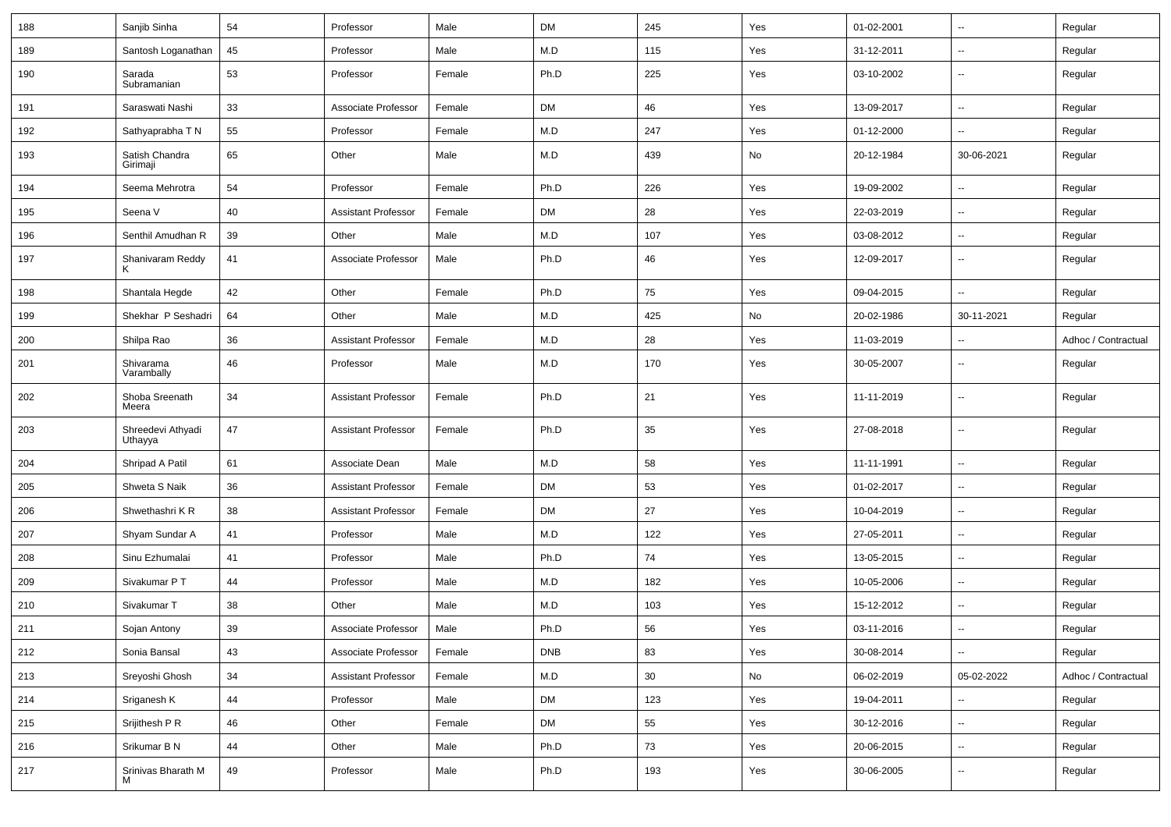| 188 | Sanjib Sinha                 | 54 | Professor                  | Male   | <b>DM</b>  | 245 | Yes | 01-02-2001 | ⊷.                       | Regular             |
|-----|------------------------------|----|----------------------------|--------|------------|-----|-----|------------|--------------------------|---------------------|
| 189 | Santosh Loganathan           | 45 | Professor                  | Male   | M.D        | 115 | Yes | 31-12-2011 | $\mathbf{u}$             | Regular             |
| 190 | Sarada<br>Subramanian        | 53 | Professor                  | Female | Ph.D       | 225 | Yes | 03-10-2002 | --                       | Regular             |
| 191 | Saraswati Nashi              | 33 | Associate Professor        | Female | DM         | 46  | Yes | 13-09-2017 | --                       | Regular             |
| 192 | Sathyaprabha T N             | 55 | Professor                  | Female | M.D        | 247 | Yes | 01-12-2000 | --                       | Regular             |
| 193 | Satish Chandra<br>Girimaji   | 65 | Other                      | Male   | M.D        | 439 | No  | 20-12-1984 | 30-06-2021               | Regular             |
| 194 | Seema Mehrotra               | 54 | Professor                  | Female | Ph.D       | 226 | Yes | 19-09-2002 | ÷.                       | Regular             |
| 195 | Seena V                      | 40 | Assistant Professor        | Female | DM         | 28  | Yes | 22-03-2019 | ⊶.                       | Regular             |
| 196 | Senthil Amudhan R            | 39 | Other                      | Male   | M.D        | 107 | Yes | 03-08-2012 | н.                       | Regular             |
| 197 | Shanivaram Reddy<br>ĸ        | 41 | Associate Professor        | Male   | Ph.D       | 46  | Yes | 12-09-2017 | $\sim$                   | Regular             |
| 198 | Shantala Hegde               | 42 | Other                      | Female | Ph.D       | 75  | Yes | 09-04-2015 | $\sim$                   | Regular             |
| 199 | Shekhar P Seshadri           | 64 | Other                      | Male   | M.D        | 425 | No  | 20-02-1986 | 30-11-2021               | Regular             |
| 200 | Shilpa Rao                   | 36 | <b>Assistant Professor</b> | Female | M.D        | 28  | Yes | 11-03-2019 | Ξ.                       | Adhoc / Contractual |
| 201 | Shivarama<br>Varambally      | 46 | Professor                  | Male   | M.D        | 170 | Yes | 30-05-2007 | $\mathbf{u}$             | Regular             |
| 202 | Shoba Sreenath<br>Meera      | 34 | <b>Assistant Professor</b> | Female | Ph.D       | 21  | Yes | 11-11-2019 | $\sim$                   | Regular             |
| 203 | Shreedevi Athyadi<br>Uthayya | 47 | <b>Assistant Professor</b> | Female | Ph.D       | 35  | Yes | 27-08-2018 | ÷.                       | Regular             |
| 204 | Shripad A Patil              | 61 | Associate Dean             | Male   | M.D        | 58  | Yes | 11-11-1991 | $\mathbf{u}$             | Regular             |
| 205 | Shweta S Naik                | 36 | <b>Assistant Professor</b> | Female | <b>DM</b>  | 53  | Yes | 01-02-2017 | ⊷.                       | Regular             |
| 206 | Shwethashri KR               | 38 | <b>Assistant Professor</b> | Female | DM         | 27  | Yes | 10-04-2019 | ⊷.                       | Regular             |
| 207 | Shyam Sundar A               | 41 | Professor                  | Male   | M.D        | 122 | Yes | 27-05-2011 | $\sim$                   | Regular             |
| 208 | Sinu Ezhumalai               | 41 | Professor                  | Male   | Ph.D       | 74  | Yes | 13-05-2015 | ⊷.                       | Regular             |
| 209 | Sivakumar P T                | 44 | Professor                  | Male   | M.D        | 182 | Yes | 10-05-2006 | --                       | Regular             |
| 210 | Sivakumar T                  | 38 | Other                      | Male   | M.D        | 103 | Yes | 15-12-2012 | $\sim$                   | Regular             |
| 211 | Sojan Antony                 | 39 | Associate Professor        | Male   | Ph.D       | 56  | Yes | 03-11-2016 | $\sim$                   | Regular             |
| 212 | Sonia Bansal                 | 43 | Associate Professor        | Female | <b>DNB</b> | 83  | Yes | 30-08-2014 | Щ,                       | Regular             |
| 213 | Sreyoshi Ghosh               | 34 | <b>Assistant Professor</b> | Female | M.D        | 30  | No  | 06-02-2019 | 05-02-2022               | Adhoc / Contractual |
| 214 | Sriganesh K                  | 44 | Professor                  | Male   | <b>DM</b>  | 123 | Yes | 19-04-2011 | $\overline{\phantom{a}}$ | Regular             |
| 215 | Srijithesh P R               | 46 | Other                      | Female | <b>DM</b>  | 55  | Yes | 30-12-2016 | н.                       | Regular             |
| 216 | Srikumar B N                 | 44 | Other                      | Male   | Ph.D       | 73  | Yes | 20-06-2015 | $\sim$                   | Regular             |
| 217 | Srinivas Bharath M           | 49 | Professor                  | Male   | Ph.D       | 193 | Yes | 30-06-2005 | щ.                       | Regular             |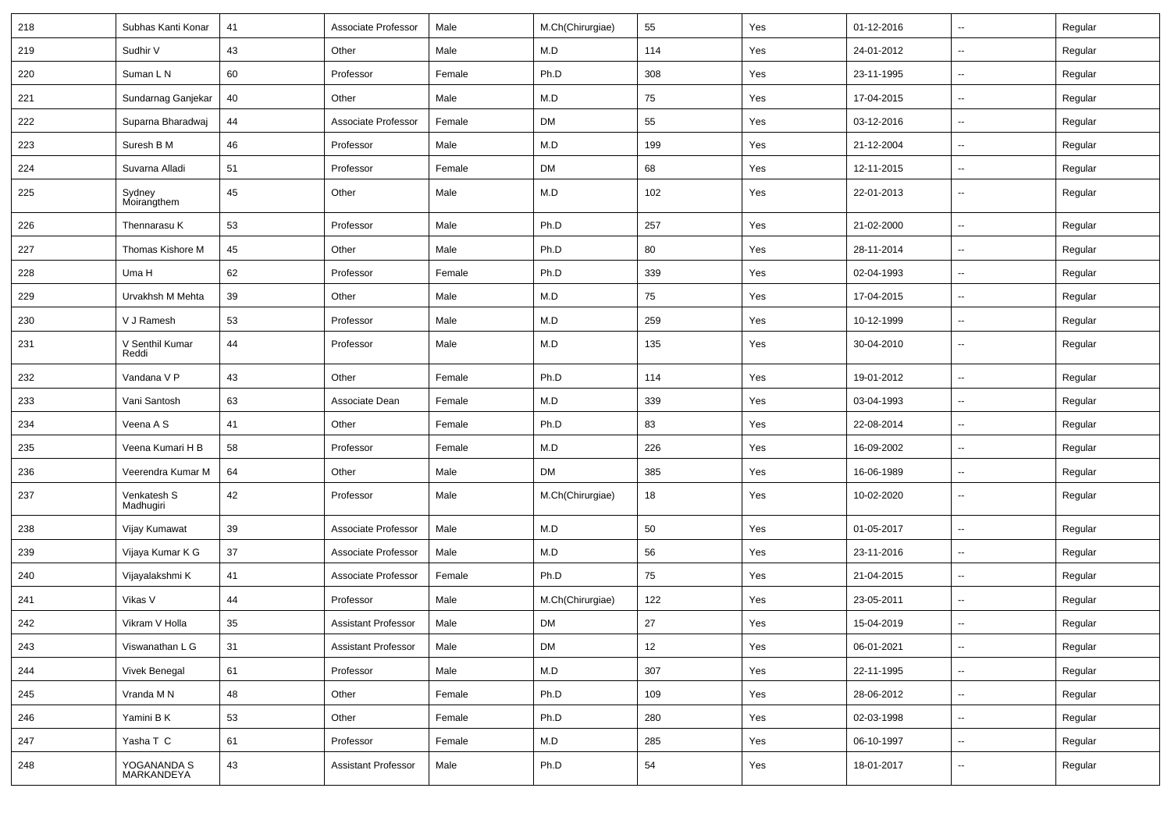| 218 | Subhas Kanti Konar        | 41 | Associate Professor        | Male   | M.Ch(Chirurgiae) | 55  | Yes | 01-12-2016 | ⊶.                       | Regular |
|-----|---------------------------|----|----------------------------|--------|------------------|-----|-----|------------|--------------------------|---------|
| 219 | Sudhir V                  | 43 | Other                      | Male   | M.D              | 114 | Yes | 24-01-2012 | -−                       | Regular |
| 220 | Suman L N                 | 60 | Professor                  | Female | Ph.D             | 308 | Yes | 23-11-1995 | -−                       | Regular |
| 221 | Sundarnag Ganjekar        | 40 | Other                      | Male   | M.D              | 75  | Yes | 17-04-2015 | $\overline{a}$           | Regular |
| 222 | Suparna Bharadwaj         | 44 | Associate Professor        | Female | DM               | 55  | Yes | 03-12-2016 | --                       | Regular |
| 223 | Suresh B M                | 46 | Professor                  | Male   | M.D              | 199 | Yes | 21-12-2004 | $\sim$                   | Regular |
| 224 | Suvarna Alladi            | 51 | Professor                  | Female | <b>DM</b>        | 68  | Yes | 12-11-2015 | ⊶.                       | Regular |
| 225 | Sydney<br>Moirangthem     | 45 | Other                      | Male   | M.D              | 102 | Yes | 22-01-2013 | $\overline{\phantom{a}}$ | Regular |
| 226 | Thennarasu K              | 53 | Professor                  | Male   | Ph.D             | 257 | Yes | 21-02-2000 | --                       | Regular |
| 227 | Thomas Kishore M          | 45 | Other                      | Male   | Ph.D             | 80  | Yes | 28-11-2014 | ⊷.                       | Regular |
| 228 | Uma H                     | 62 | Professor                  | Female | Ph.D             | 339 | Yes | 02-04-1993 | $\overline{\phantom{a}}$ | Regular |
| 229 | Urvakhsh M Mehta          | 39 | Other                      | Male   | M.D              | 75  | Yes | 17-04-2015 | --                       | Regular |
| 230 | V J Ramesh                | 53 | Professor                  | Male   | M.D              | 259 | Yes | 10-12-1999 | $\overline{\phantom{a}}$ | Regular |
| 231 | V Senthil Kumar<br>Reddi  | 44 | Professor                  | Male   | M.D              | 135 | Yes | 30-04-2010 | $\overline{\phantom{a}}$ | Regular |
| 232 | Vandana V P               | 43 | Other                      | Female | Ph.D             | 114 | Yes | 19-01-2012 | ⊶.                       | Regular |
| 233 | Vani Santosh              | 63 | Associate Dean             | Female | M.D              | 339 | Yes | 03-04-1993 | -−                       | Regular |
| 234 | Veena A S                 | 41 | Other                      | Female | Ph.D             | 83  | Yes | 22-08-2014 | $\overline{\phantom{a}}$ | Regular |
| 235 | Veena Kumari H B          | 58 | Professor                  | Female | M.D              | 226 | Yes | 16-09-2002 | --                       | Regular |
| 236 | Veerendra Kumar M         | 64 | Other                      | Male   | DM               | 385 | Yes | 16-06-1989 | -−                       | Regular |
| 237 | Venkatesh S<br>Madhugiri  | 42 | Professor                  | Male   | M.Ch(Chirurgiae) | 18  | Yes | 10-02-2020 | $\mathbf{u}$             | Regular |
| 238 | Vijay Kumawat             | 39 | Associate Professor        | Male   | M.D              | 50  | Yes | 01-05-2017 | Ξ.                       | Regular |
| 239 | Vijaya Kumar K G          | 37 | Associate Professor        | Male   | M.D              | 56  | Yes | 23-11-2016 | $\overline{\phantom{a}}$ | Regular |
| 240 | Vijayalakshmi K           | 41 | Associate Professor        | Female | Ph.D             | 75  | Yes | 21-04-2015 | -−                       | Regular |
| 241 | Vikas V                   | 44 | Professor                  | Male   | M.Ch(Chirurgiae) | 122 | Yes | 23-05-2011 | $\overline{\phantom{a}}$ | Regular |
| 242 | Vikram V Holla            | 35 | <b>Assistant Professor</b> | Male   | <b>DM</b>        | 27  | Yes | 15-04-2019 | --                       | Regular |
| 243 | Viswanathan L G           | 31 | <b>Assistant Professor</b> | Male   | <b>DM</b>        | 12  | Yes | 06-01-2021 | $\sim$                   | Regular |
| 244 | Vivek Benegal             | 61 | Professor                  | Male   | M.D              | 307 | Yes | 22-11-1995 | Щ,                       | Regular |
| 245 | Vranda M N                | 48 | Other                      | Female | Ph.D             | 109 | Yes | 28-06-2012 | Щ,                       | Regular |
| 246 | Yamini B K                | 53 | Other                      | Female | Ph.D             | 280 | Yes | 02-03-1998 | $\overline{\phantom{a}}$ | Regular |
| 247 | Yasha T C                 | 61 | Professor                  | Female | M.D              | 285 | Yes | 06-10-1997 | Щ,                       | Regular |
| 248 | YOGANANDA S<br>MARKANDEYA | 43 | <b>Assistant Professor</b> | Male   | Ph.D             | 54  | Yes | 18-01-2017 | −−                       | Regular |